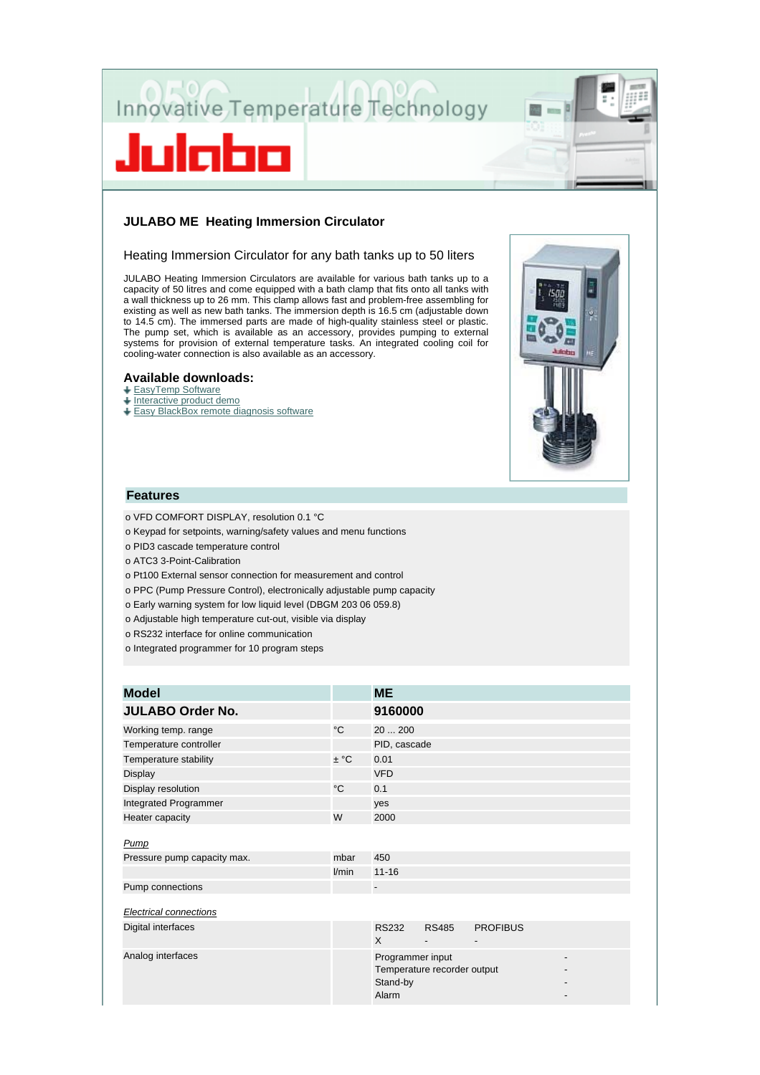

# **JULABO ME Heating Immersion Circulator**

### Heating Immersion Circulator for any bath tanks up to 50 liters

JULABO Heating Immersion Circulators are available for various bath tanks up to a capacity of 50 litres and come equipped with a bath clamp that fits onto all tanks with a wall thickness up to 26 mm. This clamp allows fast and problem-free assembling for existing as well as new bath tanks. The immersion depth is 16.5 cm (adjustable down to 14.5 cm). The immersed parts are made of high-quality stainless steel or plastic. The pump set, which is available as an accessory, provides pumping to external systems for provision of external temperature tasks. An integrated cooling coil for cooling-water connection is also available as an accessory.

## **Available downloads:**

#### + EasyTemp Software

- $\overline{\phantom{a}}$  Interactive product demo
- Easy BlackBox remote diagnosis software



# **Features**

- o VFD COMFORT DISPLAY, resolution 0.1 °C
- o Keypad for setpoints, warning/safety values and menu functions
- o PID3 cascade temperature control
- o ATC3 3-Point-Calibration
- o Pt100 External sensor connection for measurement and control
- o PPC (Pump Pressure Control), electronically adjustable pump capacity
- o Early warning system for low liquid level (DBGM 203 06 059.8)
- o Adjustable high temperature cut-out, visible via display
- o RS232 interface for online communication
- o Integrated programmer for 10 program steps

| <b>Model</b>                  |              | <b>ME</b>                             |                             |                 |  |
|-------------------------------|--------------|---------------------------------------|-----------------------------|-----------------|--|
| <b>JULABO Order No.</b>       |              | 9160000                               |                             |                 |  |
| Working temp. range           | $^{\circ}$ C | 20  200                               |                             |                 |  |
| Temperature controller        |              | PID, cascade                          |                             |                 |  |
| Temperature stability         | $\pm$ °C     | 0.01                                  |                             |                 |  |
| Display                       |              | <b>VFD</b>                            |                             |                 |  |
| Display resolution            | $^{\circ}$ C | 0.1                                   |                             |                 |  |
| Integrated Programmer         |              | yes                                   |                             |                 |  |
| Heater capacity               | W            | 2000                                  |                             |                 |  |
| <b>Pump</b>                   |              |                                       |                             |                 |  |
| Pressure pump capacity max.   | mbar         | 450                                   |                             |                 |  |
|                               | l/min        | $11 - 16$                             |                             |                 |  |
| Pump connections              |              | $\overline{\phantom{a}}$              |                             |                 |  |
| <b>Electrical connections</b> |              |                                       |                             |                 |  |
| Digital interfaces            |              | <b>RS232</b><br>X                     | <b>RS485</b>                | <b>PROFIBUS</b> |  |
| Analog interfaces             |              | Programmer input<br>Stand-by<br>Alarm | Temperature recorder output |                 |  |